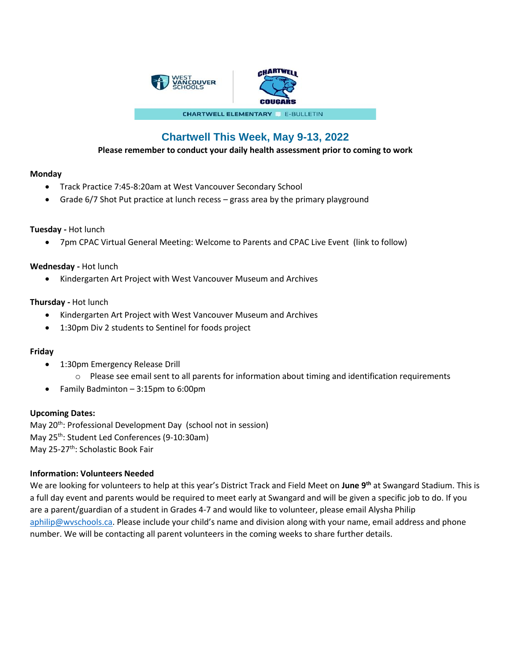

# **Chartwell This Week, May 9-13, 2022**

**Please remember to conduct your daily health assessment prior to coming to work**

# **Monday**

- Track Practice 7:45-8:20am at West Vancouver Secondary School
- Grade 6/7 Shot Put practice at lunch recess grass area by the primary playground

## **Tuesday -** Hot lunch

• 7pm CPAC Virtual General Meeting: Welcome to Parents and CPAC Live Event (link to follow)

## **Wednesday -** Hot lunch

• Kindergarten Art Project with West Vancouver Museum and Archives

## **Thursday -** Hot lunch

- Kindergarten Art Project with West Vancouver Museum and Archives
- 1:30pm Div 2 students to Sentinel for foods project

# **Friday**

- 1:30pm Emergency Release Drill
	- $\circ$  Please see email sent to all parents for information about timing and identification requirements
- Family Badminton 3:15pm to 6:00pm

#### **Upcoming Dates:**

May 20<sup>th</sup>: Professional Development Day (school not in session) May 25<sup>th</sup>: Student Led Conferences (9-10:30am) May 25-27<sup>th</sup>: Scholastic Book Fair

#### **Information: Volunteers Needed**

We are looking for volunteers to help at this year's District Track and Field Meet on **June 9th** at Swangard Stadium. This is a full day event and parents would be required to meet early at Swangard and will be given a specific job to do. If you are a parent/guardian of a student in Grades 4-7 and would like to volunteer, please email Alysha Philip [aphilip@wvschools.ca.](mailto:aphilip@wvschools.ca) Please include your child's name and division along with your name, email address and phone number. We will be contacting all parent volunteers in the coming weeks to share further details.